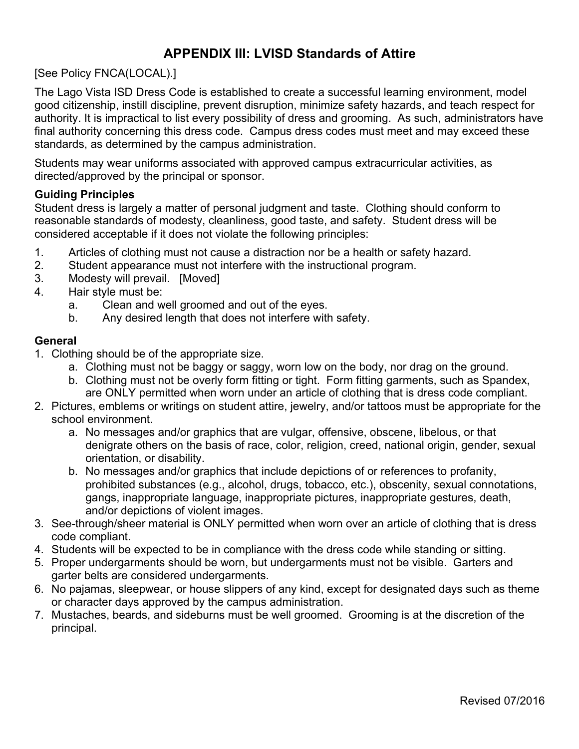# **APPENDIX III: LVISD Standards of Attire**

[See Policy FNCA(LOCAL).]

The Lago Vista ISD Dress Code is established to create a successful learning environment, model good citizenship, instill discipline, prevent disruption, minimize safety hazards, and teach respect for authority. It is impractical to list every possibility of dress and grooming. As such, administrators have final authority concerning this dress code. Campus dress codes must meet and may exceed these standards, as determined by the campus administration.

Students may wear uniforms associated with approved campus extracurricular activities, as directed/approved by the principal or sponsor.

### **Guiding Principles**

Student dress is largely a matter of personal judgment and taste. Clothing should conform to reasonable standards of modesty, cleanliness, good taste, and safety. Student dress will be considered acceptable if it does not violate the following principles:

- 1. Articles of clothing must not cause a distraction nor be a health or safety hazard.
- 2. Student appearance must not interfere with the instructional program.
- 3. Modesty will prevail. [Moved]
- 4. Hair style must be:
	- a. Clean and well groomed and out of the eyes.
	- b. Any desired length that does not interfere with safety.

#### **General**

- 1. Clothing should be of the appropriate size.
	- a. Clothing must not be baggy or saggy, worn low on the body, nor drag on the ground.
	- b. Clothing must not be overly form fitting or tight. Form fitting garments, such as Spandex, are ONLY permitted when worn under an article of clothing that is dress code compliant.
- 2. Pictures, emblems or writings on student attire, jewelry, and/or tattoos must be appropriate for the school environment.
	- a. No messages and/or graphics that are vulgar, offensive, obscene, libelous, or that denigrate others on the basis of race, color, religion, creed, national origin, gender, sexual orientation, or disability.
	- b. No messages and/or graphics that include depictions of or references to profanity, prohibited substances (e.g., alcohol, drugs, tobacco, etc.), obscenity, sexual connotations, gangs, inappropriate language, inappropriate pictures, inappropriate gestures, death, and/or depictions of violent images.
- 3. See-through/sheer material is ONLY permitted when worn over an article of clothing that is dress code compliant.
- 4. Students will be expected to be in compliance with the dress code while standing or sitting.
- 5. Proper undergarments should be worn, but undergarments must not be visible. Garters and garter belts are considered undergarments.
- 6. No pajamas, sleepwear, or house slippers of any kind, except for designated days such as theme or character days approved by the campus administration.
- 7. Mustaches, beards, and sideburns must be well groomed. Grooming is at the discretion of the principal.